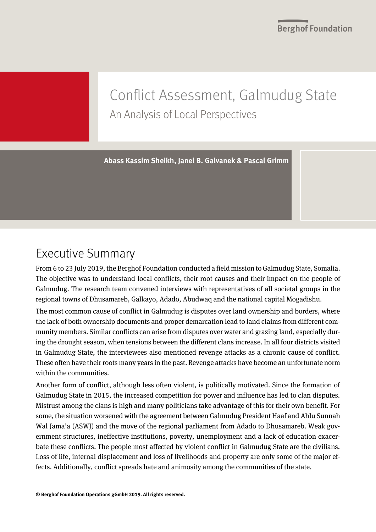# Conflict Assessment, Galmudug State An Analysis of Local Perspectives

**Abass Kassim Sheikh, Janel B. Galvanek & Pascal Grimm**

## <span id="page-0-0"></span>Executive Summary

From 6 to 23 July 2019, the Berghof Foundation conducted a field mission to Galmudug State, Somalia. The objective was to understand local conflicts, their root causes and their impact on the people of Galmudug. The research team convened interviews with representatives of all societal groups in the regional towns of Dhusamareb, Galkayo, Adado, Abudwaq and the national capital Mogadishu.

The most common cause of conflict in Galmudug is disputes over land ownership and borders, where the lack of both ownership documents and proper demarcation lead to land claims from different community members. Similar conflicts can arise from disputes over water and grazing land, especially during the drought season, when tensions between the different clans increase. In all four districts visited in Galmudug State, the interviewees also mentioned revenge attacks as a chronic cause of conflict. These often have their roots many years in the past. Revenge attacks have become an unfortunate norm within the communities.

Another form of conflict, although less often violent, is politically motivated. Since the formation of Galmudug State in 2015, the increased competition for power and influence has led to clan disputes. Mistrust among the clans is high and many politicians take advantage of this for their own benefit. For some, the situation worsened with the agreement between Galmudug President Haaf and Ahlu Sunnah Wal Jama'a (ASWJ) and the move of the regional parliament from Adado to Dhusamareb. Weak government structures, ineffective institutions, poverty, unemployment and a lack of education exacerbate these conflicts. The people most affected by violent conflict in Galmudug State are the civilians. Loss of life, internal displacement and loss of livelihoods and property are only some of the major effects. Additionally, conflict spreads hate and animosity among the communities of the state.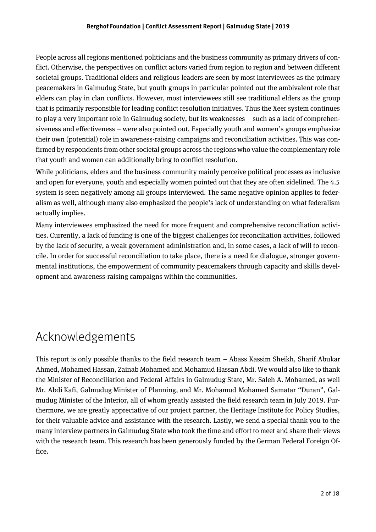People across all regions mentioned politicians and the business community as primary drivers of conflict. Otherwise, the perspectives on conflict actors varied from region to region and between different societal groups. Traditional elders and religious leaders are seen by most interviewees as the primary peacemakers in Galmudug State, but youth groups in particular pointed out the ambivalent role that elders can play in clan conflicts. However, most interviewees still see traditional elders as the group that is primarily responsible for leading conflict resolution initiatives. Thus the Xeer system continues to play a very important role in Galmudug society, but its weaknesses – such as a lack of comprehensiveness and effectiveness – were also pointed out. Especially youth and women's groups emphasize their own (potential) role in awareness-raising campaigns and reconciliation activities. This was confirmed by respondents from other societal groups across the regions who value the complementary role that youth and women can additionally bring to conflict resolution.

While politicians, elders and the business community mainly perceive political processes as inclusive and open for everyone, youth and especially women pointed out that they are often sidelined. The 4.5 system is seen negatively among all groups interviewed. The same negative opinion applies to federalism as well, although many also emphasized the people's lack of understanding on what federalism actually implies.

Many interviewees emphasized the need for more frequent and comprehensive reconciliation activities. Currently, a lack of funding is one of the biggest challenges for reconciliation activities, followed by the lack of security, a weak government administration and, in some cases, a lack of will to reconcile. In order for successful reconciliation to take place, there is a need for dialogue, stronger governmental institutions, the empowerment of community peacemakers through capacity and skills development and awareness-raising campaigns within the communities.

## <span id="page-1-0"></span>Acknowledgements

This report is only possible thanks to the field research team – Abass Kassim Sheikh, Sharif Abukar Ahmed, Mohamed Hassan, Zainab Mohamed and Mohamud Hassan Abdi. We would also like to thank the Minister of Reconciliation and Federal Affairs in Galmudug State, Mr. Saleh A. Mohamed, as well Mr. Abdi Kafi, Galmudug Minister of Planning, and Mr. Mohamud Mohamed Samatar "Duran", Galmudug Minister of the Interior, all of whom greatly assisted the field research team in July 2019. Furthermore, we are greatly appreciative of our project partner, the Heritage Institute for Policy Studies, for their valuable advice and assistance with the research. Lastly, we send a special thank you to the many interview partners in Galmudug State who took the time and effort to meet and share their views with the research team. This research has been generously funded by the German Federal Foreign Office.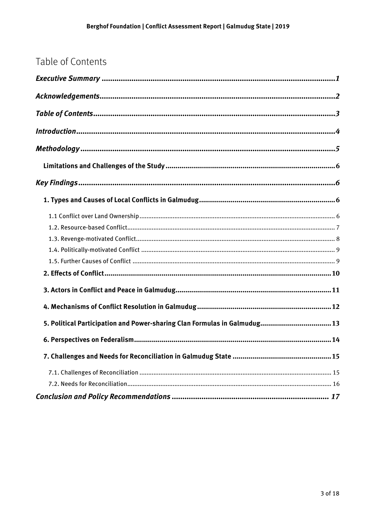## <span id="page-2-0"></span>Table of Contents

| 5. Political Participation and Power-sharing Clan Formulas in Galmudug 13 |
|---------------------------------------------------------------------------|
|                                                                           |
|                                                                           |
|                                                                           |
|                                                                           |
|                                                                           |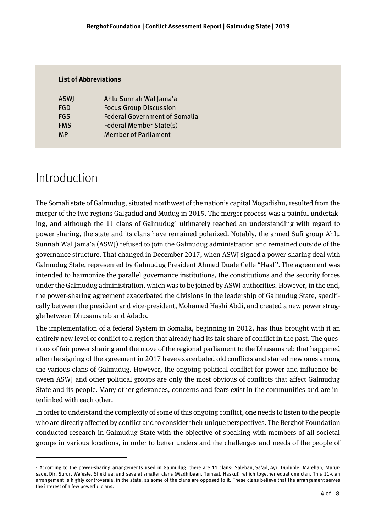#### **List of Abbreviations**

| <b>ASWJ</b> | Ahlu Sunnah Wal Jama'a               |
|-------------|--------------------------------------|
| <b>FGD</b>  | <b>Focus Group Discussion</b>        |
| <b>FGS</b>  | <b>Federal Government of Somalia</b> |
| <b>FMS</b>  | <b>Federal Member State(s)</b>       |
| <b>MP</b>   | <b>Member of Parliament</b>          |

## <span id="page-3-0"></span>Introduction

 $\overline{a}$ 

The Somali state of Galmudug, situated northwest of the nation's capital Mogadishu, resulted from the merger of the two regions Galgadud and Mudug in 2015. The merger process was a painful undertaking, and although the 11 clans of  $Galmudug<sup>1</sup>$  ultimately reached an understanding with regard to power sharing, the state and its clans have remained polarized. Notably, the armed Sufi group Ahlu Sunnah Wal Jama'a (ASWJ) refused to join the Galmudug administration and remained outside of the governance structure. That changed in December 2017, when ASWJ signed a power-sharing deal with Galmudug State, represented by Galmudug President Ahmed Duale Gelle "Haaf". The agreement was intended to harmonize the parallel governance institutions, the constitutions and the security forces under the Galmudug administration, which was to be joined by ASWJ authorities. However, in the end, the power-sharing agreement exacerbated the divisions in the leadership of Galmudug State, specifically between the president and vice-president, Mohamed Hashi Abdi, and created a new power struggle between Dhusamareb and Adado.

The implementation of a federal System in Somalia, beginning in 2012, has thus brought with it an entirely new level of conflict to a region that already had its fair share of conflict in the past. The questions of fair power sharing and the move of the regional parliament to the Dhusamareb that happened after the signing of the agreement in 2017 have exacerbated old conflicts and started new ones among the various clans of Galmudug. However, the ongoing political conflict for power and influence between ASWJ and other political groups are only the most obvious of conflicts that affect Galmudug State and its people. Many other grievances, concerns and fears exist in the communities and are interlinked with each other.

In order to understand the complexity of some of this ongoing conflict, one needs to listen to the people who are directly affected by conflict and to consider their unique perspectives. The Berghof Foundation conducted research in Galmudug State with the objective of speaking with members of all societal groups in various locations, in order to better understand the challenges and needs of the people of

<sup>1</sup> According to the power-sharing arrangements used in Galmudug, there are 11 clans: Saleban, Sa'ad, Ayr, Duduble, Marehan, Murursade, Dir, Surur, Wa'esle, Shekhaal and several smaller clans (Madhibaan, Tumaal, Haskul) which together equal one clan. This 11-clan arrangement is highly controversial in the state, as some of the clans are opposed to it. These clans believe that the arrangement serves the interest of a few powerful clans.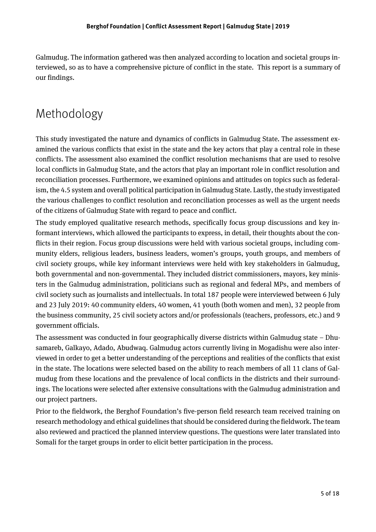Galmudug. The information gathered was then analyzed according to location and societal groups interviewed, so as to have a comprehensive picture of conflict in the state. This report is a summary of our findings.

## <span id="page-4-0"></span>Methodology

This study investigated the nature and dynamics of conflicts in Galmudug State. The assessment examined the various conflicts that exist in the state and the key actors that play a central role in these conflicts. The assessment also examined the conflict resolution mechanisms that are used to resolve local conflicts in Galmudug State, and the actors that play an important role in conflict resolution and reconciliation processes. Furthermore, we examined opinions and attitudes on topics such as federalism, the 4.5 system and overall political participation in Galmudug State. Lastly, the study investigated the various challenges to conflict resolution and reconciliation processes as well as the urgent needs of the citizens of Galmudug State with regard to peace and conflict.

The study employed qualitative research methods, specifically focus group discussions and key informant interviews, which allowed the participants to express, in detail, their thoughts about the conflicts in their region. Focus group discussions were held with various societal groups, including community elders, religious leaders, business leaders, women's groups, youth groups, and members of civil society groups, while key informant interviews were held with key stakeholders in Galmudug, both governmental and non-governmental. They included district commissioners, mayors, key ministers in the Galmudug administration, politicians such as regional and federal MPs, and members of civil society such as journalists and intellectuals. In total 187 people were interviewed between 6 July and 23 July 2019: 40 community elders, 40 women, 41 youth (both women and men), 32 people from the business community, 25 civil society actors and/or professionals (teachers, professors, etc.) and 9 government officials.

The assessment was conducted in four geographically diverse districts within Galmudug state – Dhusamareb, Galkayo, Adado, Abudwaq. Galmudug actors currently living in Mogadishu were also interviewed in order to get a better understanding of the perceptions and realities of the conflicts that exist in the state. The locations were selected based on the ability to reach members of all 11 clans of Galmudug from these locations and the prevalence of local conflicts in the districts and their surroundings. The locations were selected after extensive consultations with the Galmudug administration and our project partners.

Prior to the fieldwork, the Berghof Foundation's five-person field research team received training on research methodology and ethical guidelines that should be considered during the fieldwork. The team also reviewed and practiced the planned interview questions. The questions were later translated into Somali for the target groups in order to elicit better participation in the process.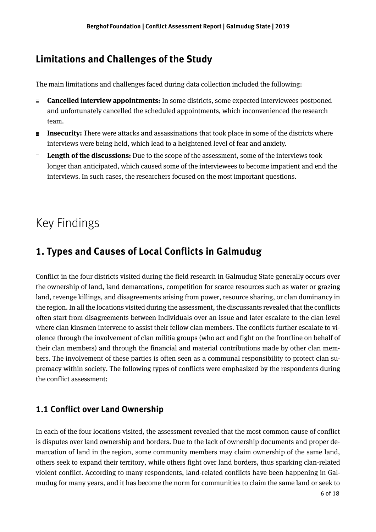## <span id="page-5-0"></span>**Limitations and Challenges of the Study**

The main limitations and challenges faced during data collection included the following:

- $\blacksquare$ **Cancelled interview appointments:** In some districts, some expected interviewees postponed and unfortunately cancelled the scheduled appointments, which inconvenienced the research team.
- **Insecurity:** There were attacks and assassinations that took place in some of the districts where interviews were being held, which lead to a heightened level of fear and anxiety.
- **Length of the discussions:** Due to the scope of the assessment, some of the interviews took longer than anticipated, which caused some of the interviewees to become impatient and end the interviews. In such cases, the researchers focused on the most important questions.

## <span id="page-5-1"></span>Key Findings

### <span id="page-5-2"></span>**1. Types and Causes of Local Conflicts in Galmudug**

Conflict in the four districts visited during the field research in Galmudug State generally occurs over the ownership of land, land demarcations, competition for scarce resources such as water or grazing land, revenge killings, and disagreements arising from power, resource sharing, or clan dominancy in the region. In all the locations visited during the assessment, the discussants revealed that the conflicts often start from disagreements between individuals over an issue and later escalate to the clan level where clan kinsmen intervene to assist their fellow clan members. The conflicts further escalate to violence through the involvement of clan militia groups (who act and fight on the frontline on behalf of their clan members) and through the financial and material contributions made by other clan members. The involvement of these parties is often seen as a communal responsibility to protect clan supremacy within society. The following types of conflicts were emphasized by the respondents during the conflict assessment:

#### <span id="page-5-3"></span>**1.1 Conflict over Land Ownership**

In each of the four locations visited, the assessment revealed that the most common cause of conflict is disputes over land ownership and borders. Due to the lack of ownership documents and proper demarcation of land in the region, some community members may claim ownership of the same land, others seek to expand their territory, while others fight over land borders, thus sparking clan-related violent conflict. According to many respondents, land-related conflicts have been happening in Galmudug for many years, and it has become the norm for communities to claim the same land or seek to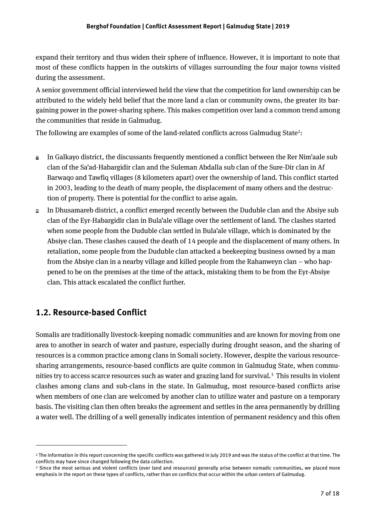expand their territory and thus widen their sphere of influence. However, it is important to note that most of these conflicts happen in the outskirts of villages surrounding the four major towns visited during the assessment.

A senior government official interviewed held the view that the competition for land ownership can be attributed to the widely held belief that the more land a clan or community owns, the greater its bargaining power in the power-sharing sphere. This makes competition over land a common trend among the communities that reside in Galmudug.

The following are examples of some of the land-related conflicts across Galmudug State $^{\rm 2}$ :

- In Galkayo district, the discussants frequently mentioned a conflict between the Rer Nim'aale sub clan of the Sa'ad-Habargidir clan and the Suleman Abdalla sub clan of the Sure-Dir clan in Af Barwaqo and Tawfiq villages (8 kilometers apart) over the ownership of land. This conflict started in 2003, leading to the death of many people, the displacement of many others and the destruction of property. There is potential for the conflict to arise again.
- $\equiv$  In Dhusamareb district, a conflict emerged recently between the Duduble clan and the Absiye sub clan of the Eyr-Habargidir clan in Bula'ale village over the settlement of land. The clashes started when some people from the Duduble clan settled in Bula'ale village, which is dominated by the Absiye clan. These clashes caused the death of 14 people and the displacement of many others. In retaliation, some people from the Duduble clan attacked a beekeeping business owned by a man from the Absiye clan in a nearby village and killed people from the Rahanweyn clan – who happened to be on the premises at the time of the attack, mistaking them to be from the Eyr-Absiye clan. This attack escalated the conflict further.

#### <span id="page-6-0"></span>**1.2. Resource-based Conflict**

 $\overline{\phantom{a}}$ 

Somalis are traditionally livestock-keeping nomadic communities and are known for moving from one area to another in search of water and pasture, especially during drought season, and the sharing of resources is a common practice among clans in Somali society. However, despite the various resourcesharing arrangements, resource-based conflicts are quite common in Galmudug State, when communities try to access scarce resources such as water and grazing land for survival. $^3$  This results in violent clashes among clans and sub-clans in the state. In Galmudug, most resource-based conflicts arise when members of one clan are welcomed by another clan to utilize water and pasture on a temporary basis. The visiting clan then often breaks the agreement and settles in the area permanently by drilling a water well. The drilling of a well generally indicates intention of permanent residency and this often

<sup>2</sup> The information in this report concerning the specific conflicts was gathered in July 2019 and was the status of the conflict at that time. The conflicts may have since changed following the data collection.

<sup>&</sup>lt;sup>3</sup> Since the most serious and violent conflicts (over land and resources) generally arise between nomadic communities, we placed more emphasis in the report on these types of conflicts, rather than on conflicts that occur within the urban centers of Galmudug.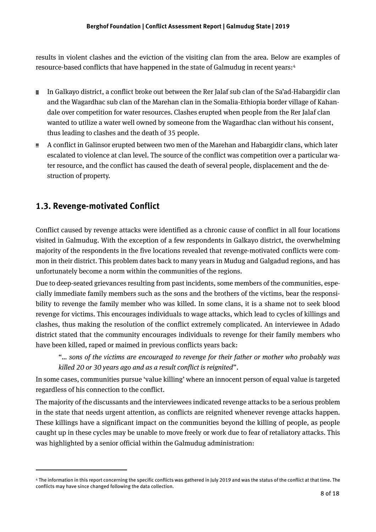results in violent clashes and the eviction of the visiting clan from the area. Below are examples of resource-based conflicts that have happened in the state of Galmudug in recent years:<sup>4</sup>

- In Galkayo district, a conflict broke out between the Rer Jalaf sub clan of the Sa'ad-Habargidir clan  $\equiv$ and the Wagardhac sub clan of the Marehan clan in the Somalia-Ethiopia border village of Kahandale over competition for water resources. Clashes erupted when people from the Rer Jalaf clan wanted to utilize a water well owned by someone from the Wagardhac clan without his consent, thus leading to clashes and the death of 35 people.
- $\equiv$  A conflict in Galinsor erupted between two men of the Marehan and Habargidir clans, which later escalated to violence at clan level. The source of the conflict was competition over a particular water resource, and the conflict has caused the death of several people, displacement and the destruction of property.

#### <span id="page-7-0"></span>**1.3. Revenge-motivated Conflict**

l

Conflict caused by revenge attacks were identified as a chronic cause of conflict in all four locations visited in Galmudug. With the exception of a few respondents in Galkayo district, the overwhelming majority of the respondents in the five locations revealed that revenge-motivated conflicts were common in their district. This problem dates back to many years in Mudug and Galgadud regions, and has unfortunately become a norm within the communities of the regions.

Due to deep-seated grievances resulting from past incidents, some members of the communities, especially immediate family members such as the sons and the brothers of the victims, bear the responsibility to revenge the family member who was killed. In some clans, it is a shame not to seek blood revenge for victims. This encourages individuals to wage attacks, which lead to cycles of killings and clashes, thus making the resolution of the conflict extremely complicated. An interviewee in Adado district stated that the community encourages individuals to revenge for their family members who have been killed, raped or maimed in previous conflicts years back:

"*… sons of the victims are encouraged to revenge for their father or mother who probably was killed 20 or 30 years ago and as a result conflict is reignited*".

In some cases, communities pursue 'value killing' where an innocent person of equal value is targeted regardless of his connection to the conflict.

The majority of the discussants and the interviewees indicated revenge attacks to be a serious problem in the state that needs urgent attention, as conflicts are reignited whenever revenge attacks happen. These killings have a significant impact on the communities beyond the killing of people, as people caught up in these cycles may be unable to move freely or work due to fear of retaliatory attacks. This was highlighted by a senior official within the Galmudug administration:

<sup>4</sup> The information in this report concerning the specific conflicts was gathered in July 2019 and was the status of the conflict at that time. The conflicts may have since changed following the data collection.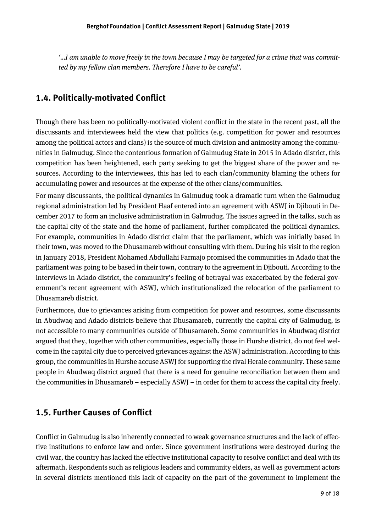*'…I am unable to move freely in the town because I may be targeted for a crime that was committed by my fellow clan members. Therefore I have to be careful'.*

#### <span id="page-8-0"></span>**1.4. Politically-motivated Conflict**

Though there has been no politically-motivated violent conflict in the state in the recent past, all the discussants and interviewees held the view that politics (e.g. competition for power and resources among the political actors and clans) is the source of much division and animosity among the communities in Galmudug. Since the contentious formation of Galmudug State in 2015 in Adado district, this competition has been heightened, each party seeking to get the biggest share of the power and resources. According to the interviewees, this has led to each clan/community blaming the others for accumulating power and resources at the expense of the other clans/communities.

For many discussants, the political dynamics in Galmudug took a dramatic turn when the Galmudug regional administration led by President Haaf entered into an agreement with ASWJ in Djibouti in December 2017 to form an inclusive administration in Galmudug. The issues agreed in the talks, such as the capital city of the state and the home of parliament, further complicated the political dynamics. For example, communities in Adado district claim that the parliament, which was initially based in their town, was moved to the Dhusamareb without consulting with them. During his visit to the region in January 2018, President Mohamed Abdullahi Farmajo promised the communities in Adado that the parliament was going to be based in their town, contrary to the agreement in Djibouti. According to the interviews in Adado district, the community's feeling of betrayal was exacerbated by the federal government's recent agreement with ASWJ, which institutionalized the relocation of the parliament to Dhusamareb district.

Furthermore, due to grievances arising from competition for power and resources, some discussants in Abudwaq and Adado districts believe that Dhusamareb, currently the capital city of Galmudug, is not accessible to many communities outside of Dhusamareb. Some communities in Abudwaq district argued that they, together with other communities, especially those in Hurshe district, do not feel welcome in the capital city due to perceived grievances against the ASWJ administration. According to this group, the communities in Hurshe accuse ASWJ for supporting the rival Herale community. These same people in Abudwaq district argued that there is a need for genuine reconciliation between them and the communities in Dhusamareb – especially ASWJ – in order for them to access the capital city freely.

#### <span id="page-8-1"></span>**1.5. Further Causes of Conflict**

Conflict in Galmudug is also inherently connected to weak governance structures and the lack of effective institutions to enforce law and order. Since government institutions were destroyed during the civil war, the country has lacked the effective institutional capacity to resolve conflict and deal with its aftermath. Respondents such as religious leaders and community elders, as well as government actors in several districts mentioned this lack of capacity on the part of the government to implement the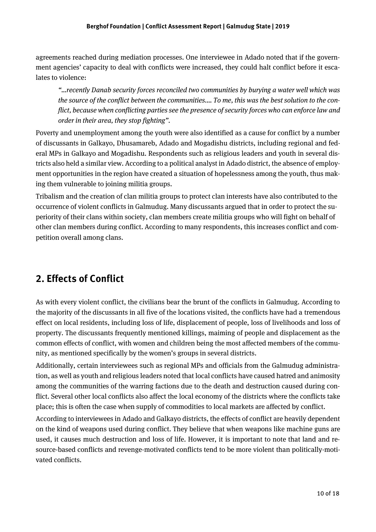agreements reached during mediation processes. One interviewee in Adado noted that if the government agencies' capacity to deal with conflicts were increased, they could halt conflict before it escalates to violence:

*"…recently Danab security forces reconciled two communities by burying a water well which was the source of the conflict between the communities.… To me, this was the best solution to the conflict, because when conflicting parties see the presence of security forces who can enforce law and order in their area, they stop fighting".*

Poverty and unemployment among the youth were also identified as a cause for conflict by a number of discussants in Galkayo, Dhusamareb, Adado and Mogadishu districts, including regional and federal MPs in Galkayo and Mogadishu. Respondents such as religious leaders and youth in several districts also held a similar view. According to a political analyst in Adado district, the absence of employment opportunities in the region have created a situation of hopelessness among the youth, thus making them vulnerable to joining militia groups.

Tribalism and the creation of clan militia groups to protect clan interests have also contributed to the occurrence of violent conflicts in Galmudug. Many discussants argued that in order to protect the superiority of their clans within society, clan members create militia groups who will fight on behalf of other clan members during conflict. According to many respondents, this increases conflict and competition overall among clans.

## <span id="page-9-0"></span>**2. Effects of Conflict**

As with every violent conflict, the civilians bear the brunt of the conflicts in Galmudug. According to the majority of the discussants in all five of the locations visited, the conflicts have had a tremendous effect on local residents, including loss of life, displacement of people, loss of livelihoods and loss of property. The discussants frequently mentioned killings, maiming of people and displacement as the common effects of conflict, with women and children being the most affected members of the community, as mentioned specifically by the women's groups in several districts.

Additionally, certain interviewees such as regional MPs and officials from the Galmudug administration, as well as youth and religious leaders noted that local conflicts have caused hatred and animosity among the communities of the warring factions due to the death and destruction caused during conflict. Several other local conflicts also affect the local economy of the districts where the conflicts take place; this is often the case when supply of commodities to local markets are affected by conflict.

According to interviewees in Adado and Galkayo districts, the effects of conflict are heavily dependent on the kind of weapons used during conflict. They believe that when weapons like machine guns are used, it causes much destruction and loss of life. However, it is important to note that land and resource-based conflicts and revenge-motivated conflicts tend to be more violent than politically-motivated conflicts.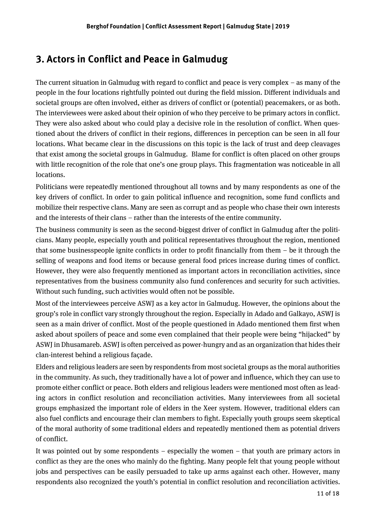## <span id="page-10-0"></span>**3. Actors in Conflict and Peace in Galmudug**

The current situation in Galmudug with regard to conflict and peace is very complex – as many of the people in the four locations rightfully pointed out during the field mission. Different individuals and societal groups are often involved, either as drivers of conflict or (potential) peacemakers, or as both. The interviewees were asked about their opinion of who they perceive to be primary actors in conflict. They were also asked about who could play a decisive role in the resolution of conflict. When questioned about the drivers of conflict in their regions, differences in perception can be seen in all four locations. What became clear in the discussions on this topic is the lack of trust and deep cleavages that exist among the societal groups in Galmudug. Blame for conflict is often placed on other groups with little recognition of the role that one's one group plays. This fragmentation was noticeable in all locations.

Politicians were repeatedly mentioned throughout all towns and by many respondents as one of the key drivers of conflict. In order to gain political influence and recognition, some fund conflicts and mobilize their respective clans. Many are seen as corrupt and as people who chase their own interests and the interests of their clans – rather than the interests of the entire community.

The business community is seen as the second-biggest driver of conflict in Galmudug after the politicians. Many people, especially youth and political representatives throughout the region, mentioned that some businesspeople ignite conflicts in order to profit financially from them – be it through the selling of weapons and food items or because general food prices increase during times of conflict. However, they were also frequently mentioned as important actors in reconciliation activities, since representatives from the business community also fund conferences and security for such activities. Without such funding, such activities would often not be possible.

Most of the interviewees perceive ASWJ as a key actor in Galmudug. However, the opinions about the group's role in conflict vary strongly throughout the region. Especially in Adado and Galkayo, ASWJ is seen as a main driver of conflict. Most of the people questioned in Adado mentioned them first when asked about spoilers of peace and some even complained that their people were being "hijacked" by ASWJ in Dhusamareb. ASWJ is often perceived as power-hungry and as an organization that hides their clan-interest behind a religious façade.

Elders and religious leaders are seen by respondents from most societal groups as the moral authorities in the community. As such, they traditionally have a lot of power and influence, which they can use to promote either conflict or peace. Both elders and religious leaders were mentioned most often as leading actors in conflict resolution and reconciliation activities. Many interviewees from all societal groups emphasized the important role of elders in the Xeer system. However, traditional elders can also fuel conflicts and encourage their clan members to fight. Especially youth groups seem skeptical of the moral authority of some traditional elders and repeatedly mentioned them as potential drivers of conflict.

It was pointed out by some respondents – especially the women – that youth are primary actors in conflict as they are the ones who mainly do the fighting. Many people felt that young people without jobs and perspectives can be easily persuaded to take up arms against each other. However, many respondents also recognized the youth's potential in conflict resolution and reconciliation activities.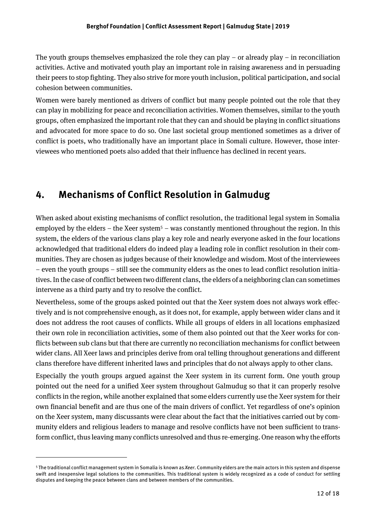The youth groups themselves emphasized the role they can play – or already play – in reconciliation activities. Active and motivated youth play an important role in raising awareness and in persuading their peers to stop fighting. They also strive for more youth inclusion, political participation, and social cohesion between communities.

Women were barely mentioned as drivers of conflict but many people pointed out the role that they can play in mobilizing for peace and reconciliation activities. Women themselves, similar to the youth groups, often emphasized the important role that they can and should be playing in conflict situations and advocated for more space to do so. One last societal group mentioned sometimes as a driver of conflict is poets, who traditionally have an important place in Somali culture. However, those interviewees who mentioned poets also added that their influence has declined in recent years.

### <span id="page-11-0"></span>**4. Mechanisms of Conflict Resolution in Galmudug**

When asked about existing mechanisms of conflict resolution, the traditional legal system in Somalia employed by the elders – the Xeer system<sup>5</sup> – was constantly mentioned throughout the region. In this system, the elders of the various clans play a key role and nearly everyone asked in the four locations acknowledged that traditional elders do indeed play a leading role in conflict resolution in their communities. They are chosen as judges because of their knowledge and wisdom. Most of the interviewees – even the youth groups – still see the community elders as the ones to lead conflict resolution initiatives. In the case of conflict between two different clans, the elders of a neighboring clan can sometimes intervene as a third party and try to resolve the conflict.

Nevertheless, some of the groups asked pointed out that the Xeer system does not always work effectively and is not comprehensive enough, as it does not, for example, apply between wider clans and it does not address the root causes of conflicts. While all groups of elders in all locations emphasized their own role in reconciliation activities, some of them also pointed out that the Xeer works for conflicts between sub clans but that there are currently no reconciliation mechanisms for conflict between wider clans. All Xeer laws and principles derive from oral telling throughout generations and different clans therefore have different inherited laws and principles that do not always apply to other clans.

Especially the youth groups argued against the Xeer system in its current form. One youth group pointed out the need for a unified Xeer system throughout Galmudug so that it can properly resolve conflicts in the region, while another explained that some elders currently use the Xeer system for their own financial benefit and are thus one of the main drivers of conflict. Yet regardless of one's opinion on the Xeer system, many discussants were clear about the fact that the initiatives carried out by community elders and religious leaders to manage and resolve conflicts have not been sufficient to transform conflict, thus leaving many conflicts unresolved and thus re-emerging. One reason why the efforts

 $\overline{a}$ 

<sup>5</sup> The traditional conflict management system in Somalia is known as *Xeer*. Community elders are the main actors in this system and dispense swift and inexpensive legal solutions to the communities. This traditional system is widely recognized as a code of conduct for settling disputes and keeping the peace between clans and between members of the communities.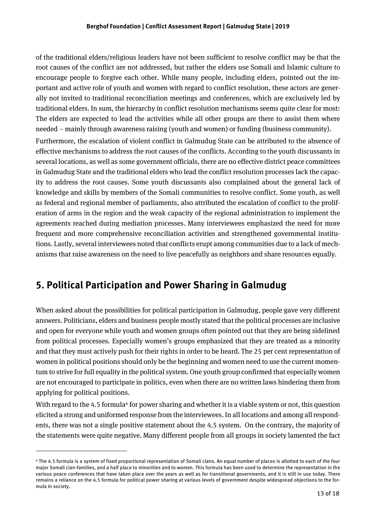of the traditional elders/religious leaders have not been sufficient to resolve conflict may be that the root causes of the conflict are not addressed, but rather the elders use Somali and Islamic culture to encourage people to forgive each other. While many people, including elders, pointed out the important and active role of youth and women with regard to conflict resolution, these actors are generally not invited to traditional reconciliation meetings and conferences, which are exclusively led by traditional elders. In sum, the hierarchy in conflict resolution mechanisms seems quite clear for most: The elders are expected to lead the activities while all other groups are there to assist them where needed – mainly through awareness raising (youth and women) or funding (business community).

Furthermore, the escalation of violent conflict in Galmudug State can be attributed to the absence of effective mechanisms to address the root causes of the conflicts. According to the youth discussants in several locations, as well as some government officials, there are no effective district peace committees in Galmudug State and the traditional elders who lead the conflict resolution processes lack the capacity to address the root causes. Some youth discussants also complained about the general lack of knowledge and skills by members of the Somali communities to resolve conflict. Some youth, as well as federal and regional member of parliaments, also attributed the escalation of conflict to the proliferation of arms in the region and the weak capacity of the regional administration to implement the agreements reached during mediation processes. Many interviewees emphasized the need for more frequent and more comprehensive reconciliation activities and strengthened governmental institutions. Lastly, several interviewees noted that conflicts erupt among communities due to a lack of mechanisms that raise awareness on the need to live peacefully as neighbors and share resources equally.

### <span id="page-12-0"></span>**5. Political Participation and Power Sharing in Galmudug**

When asked about the possibilities for political participation in Galmudug, people gave very different answers. Politicians, elders and business people mostly stated that the political processes are inclusive and open for everyone while youth and women groups often pointed out that they are being sidelined from political processes. Especially women's groups emphasized that they are treated as a minority and that they must actively push for their rights in order to be heard. The 25 per cent representation of women in political positions should only be the beginning and women need to use the current momentum to strive for full equality in the political system. One youth group confirmed that especially women are not encouraged to participate in politics, even when there are no written laws hindering them from applying for political positions.

With regard to the 4.5 formula<sup>6</sup> for power sharing and whether it is a viable system or not, this question elicited a strong and uniformed response from the interviewees. In all locations and among all respondents, there was not a single positive statement about the 4.5 system. On the contrary, the majority of the statements were quite negative. Many different people from all groups in society lamented the fact

l

<sup>6</sup> The 4.5 formula is a system of fixed proportional representation of Somali clans. An equal number of places is allotted to each of the four major Somali clan-families, and a half place to minorities and to women. This formula has been used to determine the representation in the various peace conferences that have taken place over the years as well as for transitional governments, and it is still in use today. There remains a reliance on the 4.5 formula for political power sharing at various levels of government despite widespread objections to the formula in society.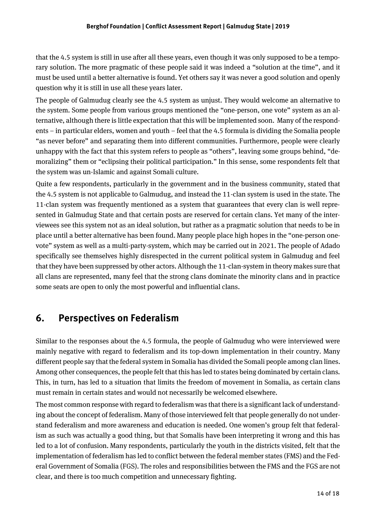that the 4.5 system is still in use after all these years, even though it was only supposed to be a temporary solution. The more pragmatic of these people said it was indeed a "solution at the time", and it must be used until a better alternative is found. Yet others say it was never a good solution and openly question why it is still in use all these years later.

The people of Galmudug clearly see the 4.5 system as unjust. They would welcome an alternative to the system. Some people from various groups mentioned the "one-person, one vote" system as an alternative, although there is little expectation that this will be implemented soon. Many of the respondents – in particular elders, women and youth – feel that the 4.5 formula is dividing the Somalia people "as never before" and separating them into different communities. Furthermore, people were clearly unhappy with the fact that this system refers to people as "others", leaving some groups behind, "demoralizing" them or "eclipsing their political participation." In this sense, some respondents felt that the system was un-Islamic and against Somali culture.

Quite a few respondents, particularly in the government and in the business community, stated that the 4.5 system is not applicable to Galmudug, and instead the 11-clan system is used in the state. The 11-clan system was frequently mentioned as a system that guarantees that every clan is well represented in Galmudug State and that certain posts are reserved for certain clans. Yet many of the interviewees see this system not as an ideal solution, but rather as a pragmatic solution that needs to be in place until a better alternative has been found. Many people place high hopes in the "one-person onevote" system as well as a multi-party-system, which may be carried out in 2021. The people of Adado specifically see themselves highly disrespected in the current political system in Galmudug and feel that they have been suppressed by other actors. Although the 11-clan-system in theory makes sure that all clans are represented, many feel that the strong clans dominate the minority clans and in practice some seats are open to only the most powerful and influential clans.

### <span id="page-13-0"></span>**6. Perspectives on Federalism**

Similar to the responses about the 4.5 formula, the people of Galmudug who were interviewed were mainly negative with regard to federalism and its top-down implementation in their country. Many different people say that the federal system in Somalia has divided the Somali people among clan lines. Among other consequences, the people felt that this has led to states being dominated by certain clans. This, in turn, has led to a situation that limits the freedom of movement in Somalia, as certain clans must remain in certain states and would not necessarily be welcomed elsewhere.

The most common response with regard to federalism was that there is a significant lack of understanding about the concept of federalism. Many of those interviewed felt that people generally do not understand federalism and more awareness and education is needed. One women's group felt that federalism as such was actually a good thing, but that Somalis have been interpreting it wrong and this has led to a lot of confusion. Many respondents, particularly the youth in the districts visited, felt that the implementation of federalism has led to conflict between the federal member states (FMS) and the Federal Government of Somalia (FGS). The roles and responsibilities between the FMS and the FGS are not clear, and there is too much competition and unnecessary fighting.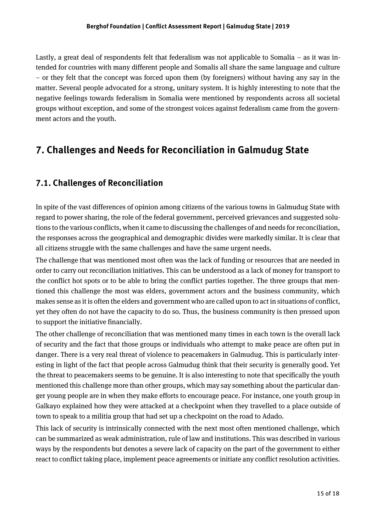Lastly, a great deal of respondents felt that federalism was not applicable to Somalia – as it was intended for countries with many different people and Somalis all share the same language and culture – or they felt that the concept was forced upon them (by foreigners) without having any say in the matter. Several people advocated for a strong, unitary system. It is highly interesting to note that the negative feelings towards federalism in Somalia were mentioned by respondents across all societal groups without exception, and some of the strongest voices against federalism came from the government actors and the youth.

### <span id="page-14-1"></span><span id="page-14-0"></span>**7. Challenges and Needs for Reconciliation in Galmudug State**

#### **7.1. Challenges of Reconciliation**

In spite of the vast differences of opinion among citizens of the various towns in Galmudug State with regard to power sharing, the role of the federal government, perceived grievances and suggested solutions to the various conflicts, when it came to discussing the challenges of and needs for reconciliation, the responses across the geographical and demographic divides were markedly similar. It is clear that all citizens struggle with the same challenges and have the same urgent needs.

The challenge that was mentioned most often was the lack of funding or resources that are needed in order to carry out reconciliation initiatives. This can be understood as a lack of money for transport to the conflict hot spots or to be able to bring the conflict parties together. The three groups that mentioned this challenge the most was elders, government actors and the business community, which makes sense as it is often the elders and government who are called upon to act in situations of conflict, yet they often do not have the capacity to do so. Thus, the business community is then pressed upon to support the initiative financially.

The other challenge of reconciliation that was mentioned many times in each town is the overall lack of security and the fact that those groups or individuals who attempt to make peace are often put in danger. There is a very real threat of violence to peacemakers in Galmudug. This is particularly interesting in light of the fact that people across Galmudug think that their security is generally good. Yet the threat to peacemakers seems to be genuine. It is also interesting to note that specifically the youth mentioned this challenge more than other groups, which may say something about the particular danger young people are in when they make efforts to encourage peace. For instance, one youth group in Galkayo explained how they were attacked at a checkpoint when they travelled to a place outside of town to speak to a militia group that had set up a checkpoint on the road to Adado.

This lack of security is intrinsically connected with the next most often mentioned challenge, which can be summarized as weak administration, rule of law and institutions. This was described in various ways by the respondents but denotes a severe lack of capacity on the part of the government to either react to conflict taking place, implement peace agreements or initiate any conflict resolution activities.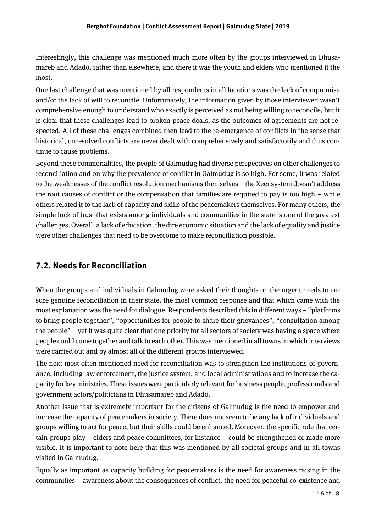Interestingly, this challenge was mentioned much more often by the groups interviewed in Dhusamareb and Adado, rather than elsewhere, and there it was the youth and elders who mentioned it the most.

One last challenge that was mentioned by all respondents in all locations was the lack of compromise and/or the lack of will to reconcile. Unfortunately, the information given by those interviewed wasn't comprehensive enough to understand who exactly is perceived as not being willing to reconcile, but it is clear that these challenges lead to broken peace deals, as the outcomes of agreements are not respected. All of these challenges combined then lead to the re-emergence of conflicts in the sense that historical, unresolved conflicts are never dealt with comprehensively and satisfactorily and thus continue to cause problems.

Beyond these commonalities, the people of Galmudug had diverse perspectives on other challenges to reconciliation and on why the prevalence of conflict in Galmudug is so high. For some, it was related to the weaknesses of the conflict resolution mechanisms themselves – the Xeer system doesn't address the root causes of conflict or the compensation that families are required to pay is too high – while others related it to the lack of capacity and skills of the peacemakers themselves. For many others, the simple luck of trust that exists among individuals and communities in the state is one of the greatest challenges. Overall, a lack of education, the dire economic situation and the lack of equality and justice were other challenges that need to be overcome to make reconciliation possible.

#### <span id="page-15-0"></span>**7.2. Needs for Reconciliation**

When the groups and individuals in Galmudug were asked their thoughts on the urgent needs to ensure genuine reconciliation in their state, the most common response and that which came with the most explanation was the need for dialogue. Respondents described this in different ways – "platforms to bring people together", "opportunities for people to share their grievances", "consultation among the people" – yet it was quite clear that one priority for all sectors of society was having a space where people could come together and talk to each other. This was mentioned in all towns in which interviews were carried out and by almost all of the different groups interviewed.

The next most often mentioned need for reconciliation was to strengthen the institutions of governance, including law enforcement, the justice system, and local administrations and to increase the capacity for key ministries. These issues were particularly relevant for business people, professionals and government actors/politicians in Dhusamareb and Adado.

Another issue that is extremely important for the citizens of Galmudug is the need to empower and increase the capacity of peacemakers in society. There does not seem to be any lack of individuals and groups willing to act for peace, but their skills could be enhanced. Moreover, the specific role that certain groups play – elders and peace committees, for instance – could be strengthened or made more visible. It is important to note here that this was mentioned by all societal groups and in all towns visited in Galmudug.

Equally as important as capacity building for peacemakers is the need for awareness raising in the communities – awareness about the consequences of conflict, the need for peaceful co-existence and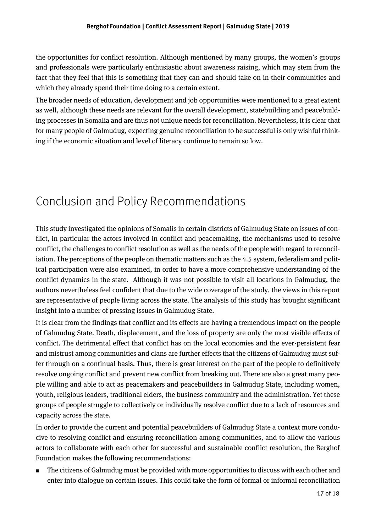the opportunities for conflict resolution. Although mentioned by many groups, the women's groups and professionals were particularly enthusiastic about awareness raising, which may stem from the fact that they feel that this is something that they can and should take on in their communities and which they already spend their time doing to a certain extent.

The broader needs of education, development and job opportunities were mentioned to a great extent as well, although these needs are relevant for the overall development, statebuilding and peacebuilding processes in Somalia and are thus not unique needs for reconciliation. Nevertheless, it is clear that for many people of Galmudug, expecting genuine reconciliation to be successful is only wishful thinking if the economic situation and level of literacy continue to remain so low.

## <span id="page-16-0"></span>Conclusion and Policy Recommendations

This study investigated the opinions of Somalis in certain districts of Galmudug State on issues of conflict, in particular the actors involved in conflict and peacemaking, the mechanisms used to resolve conflict, the challenges to conflict resolution as well as the needs of the people with regard to reconciliation. The perceptions of the people on thematic matters such as the 4.5 system, federalism and political participation were also examined, in order to have a more comprehensive understanding of the conflict dynamics in the state. Although it was not possible to visit all locations in Galmudug, the authors nevertheless feel confident that due to the wide coverage of the study, the views in this report are representative of people living across the state. The analysis of this study has brought significant insight into a number of pressing issues in Galmudug State.

It is clear from the findings that conflict and its effects are having a tremendous impact on the people of Galmudug State. Death, displacement, and the loss of property are only the most visible effects of conflict. The detrimental effect that conflict has on the local economies and the ever-persistent fear and mistrust among communities and clans are further effects that the citizens of Galmudug must suffer through on a continual basis. Thus, there is great interest on the part of the people to definitively resolve ongoing conflict and prevent new conflict from breaking out. There are also a great many people willing and able to act as peacemakers and peacebuilders in Galmudug State, including women, youth, religious leaders, traditional elders, the business community and the administration. Yet these groups of people struggle to collectively or individually resolve conflict due to a lack of resources and capacity across the state.

In order to provide the current and potential peacebuilders of Galmudug State a context more conducive to resolving conflict and ensuring reconciliation among communities, and to allow the various actors to collaborate with each other for successful and sustainable conflict resolution, the Berghof Foundation makes the following recommendations:

The citizens of Galmudug must be provided with more opportunities to discuss with each other and  $\equiv$ enter into dialogue on certain issues. This could take the form of formal or informal reconciliation